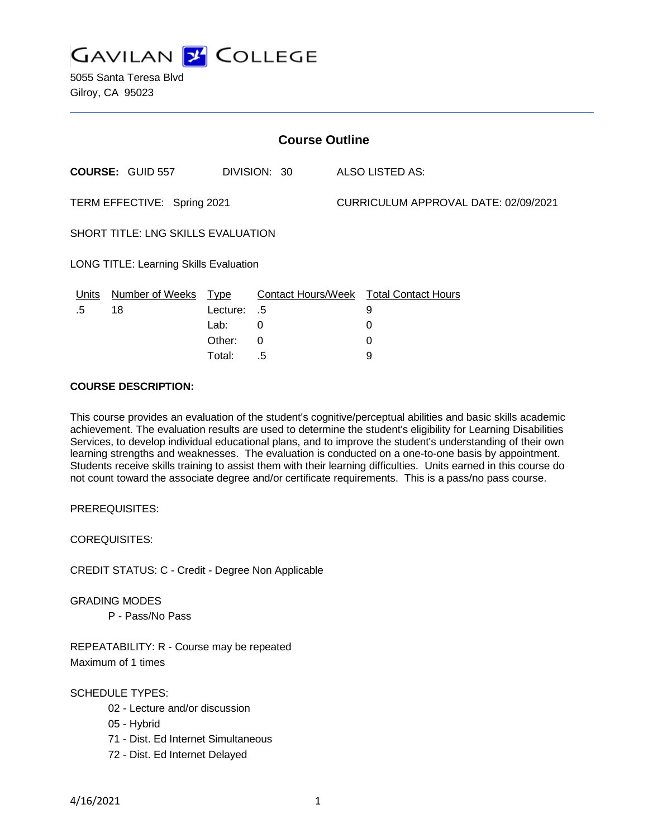

5055 Santa Teresa Blvd Gilroy, CA 95023

| <b>Course Outline</b>                         |                         |          |              |                                      |                                        |
|-----------------------------------------------|-------------------------|----------|--------------|--------------------------------------|----------------------------------------|
|                                               | <b>COURSE: GUID 557</b> |          | DIVISION: 30 |                                      | ALSO LISTED AS:                        |
| TERM EFFECTIVE: Spring 2021                   |                         |          |              | CURRICULUM APPROVAL DATE: 02/09/2021 |                                        |
| <b>SHORT TITLE: LNG SKILLS EVALUATION</b>     |                         |          |              |                                      |                                        |
| <b>LONG TITLE: Learning Skills Evaluation</b> |                         |          |              |                                      |                                        |
| <u>Units</u>                                  | Number of Weeks Type    |          |              |                                      | Contact Hours/Week Total Contact Hours |
| .5                                            | 18                      | Lecture: | .5           |                                      | 9                                      |
|                                               |                         | Lab:     | 0            |                                      | 0                                      |
|                                               |                         | Other:   | $\Omega$     |                                      | 0                                      |
|                                               |                         | Total:   | .5           |                                      | 9                                      |

## **COURSE DESCRIPTION:**

This course provides an evaluation of the student's cognitive/perceptual abilities and basic skills academic achievement. The evaluation results are used to determine the student's eligibility for Learning Disabilities Services, to develop individual educational plans, and to improve the student's understanding of their own learning strengths and weaknesses. The evaluation is conducted on a one-to-one basis by appointment. Students receive skills training to assist them with their learning difficulties. Units earned in this course do not count toward the associate degree and/or certificate requirements. This is a pass/no pass course.

PREREQUISITES:

COREQUISITES:

CREDIT STATUS: C - Credit - Degree Non Applicable

GRADING MODES

P - Pass/No Pass

REPEATABILITY: R - Course may be repeated Maximum of 1 times

SCHEDULE TYPES:

- 02 Lecture and/or discussion
- 05 Hybrid
- 71 Dist. Ed Internet Simultaneous
- 72 Dist. Ed Internet Delayed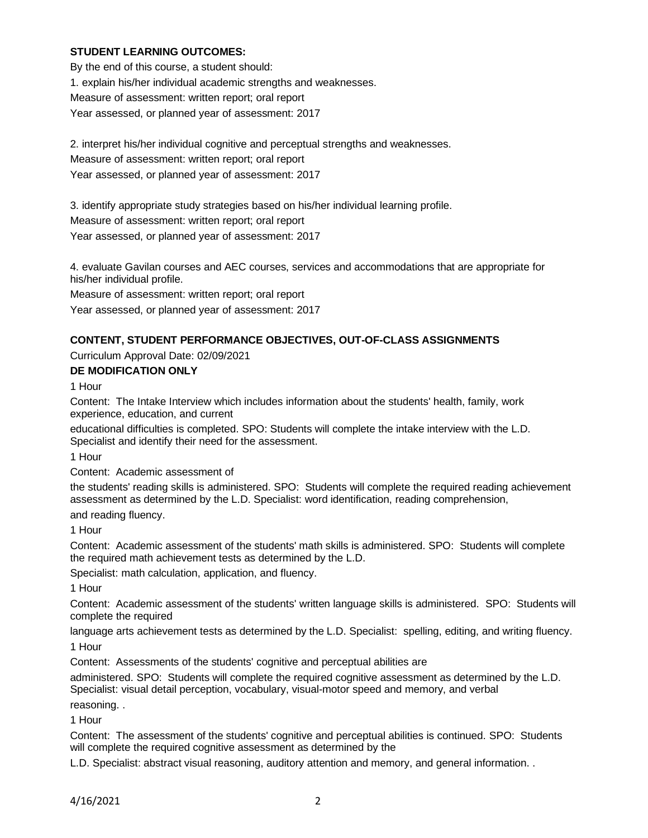## **STUDENT LEARNING OUTCOMES:**

By the end of this course, a student should: 1. explain his/her individual academic strengths and weaknesses. Measure of assessment: written report; oral report Year assessed, or planned year of assessment: 2017

2. interpret his/her individual cognitive and perceptual strengths and weaknesses. Measure of assessment: written report; oral report

Year assessed, or planned year of assessment: 2017

3. identify appropriate study strategies based on his/her individual learning profile.

Measure of assessment: written report; oral report

Year assessed, or planned year of assessment: 2017

4. evaluate Gavilan courses and AEC courses, services and accommodations that are appropriate for his/her individual profile.

Measure of assessment: written report; oral report

Year assessed, or planned year of assessment: 2017

# **CONTENT, STUDENT PERFORMANCE OBJECTIVES, OUT-OF-CLASS ASSIGNMENTS**

Curriculum Approval Date: 02/09/2021

## **DE MODIFICATION ONLY**

1 Hour

Content: The Intake Interview which includes information about the students' health, family, work experience, education, and current

educational difficulties is completed. SPO: Students will complete the intake interview with the L.D. Specialist and identify their need for the assessment.

1 Hour

Content: Academic assessment of

the students' reading skills is administered. SPO: Students will complete the required reading achievement assessment as determined by the L.D. Specialist: word identification, reading comprehension,

and reading fluency.

1 Hour

Content: Academic assessment of the students' math skills is administered. SPO: Students will complete the required math achievement tests as determined by the L.D.

Specialist: math calculation, application, and fluency.

1 Hour

Content: Academic assessment of the students' written language skills is administered. SPO: Students will complete the required

language arts achievement tests as determined by the L.D. Specialist: spelling, editing, and writing fluency. 1 Hour

Content: Assessments of the students' cognitive and perceptual abilities are

administered. SPO: Students will complete the required cognitive assessment as determined by the L.D. Specialist: visual detail perception, vocabulary, visual-motor speed and memory, and verbal reasoning. .

1 Hour

Content: The assessment of the students' cognitive and perceptual abilities is continued. SPO: Students will complete the required cognitive assessment as determined by the

L.D. Specialist: abstract visual reasoning, auditory attention and memory, and general information. .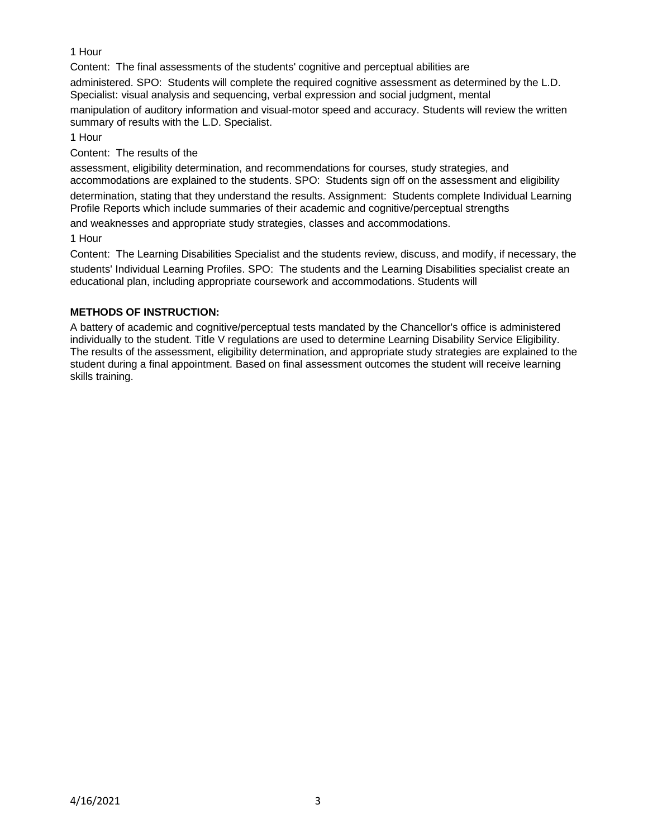# 1 Hour

Content: The final assessments of the students' cognitive and perceptual abilities are

administered. SPO: Students will complete the required cognitive assessment as determined by the L.D. Specialist: visual analysis and sequencing, verbal expression and social judgment, mental

manipulation of auditory information and visual-motor speed and accuracy. Students will review the written summary of results with the L.D. Specialist.

1 Hour

Content: The results of the

assessment, eligibility determination, and recommendations for courses, study strategies, and accommodations are explained to the students. SPO: Students sign off on the assessment and eligibility

determination, stating that they understand the results. Assignment: Students complete Individual Learning Profile Reports which include summaries of their academic and cognitive/perceptual strengths

and weaknesses and appropriate study strategies, classes and accommodations.

1 Hour

Content: The Learning Disabilities Specialist and the students review, discuss, and modify, if necessary, the students' Individual Learning Profiles. SPO: The students and the Learning Disabilities specialist create an educational plan, including appropriate coursework and accommodations. Students will

# **METHODS OF INSTRUCTION:**

A battery of academic and cognitive/perceptual tests mandated by the Chancellor's office is administered individually to the student. Title V regulations are used to determine Learning Disability Service Eligibility. The results of the assessment, eligibility determination, and appropriate study strategies are explained to the student during a final appointment. Based on final assessment outcomes the student will receive learning skills training.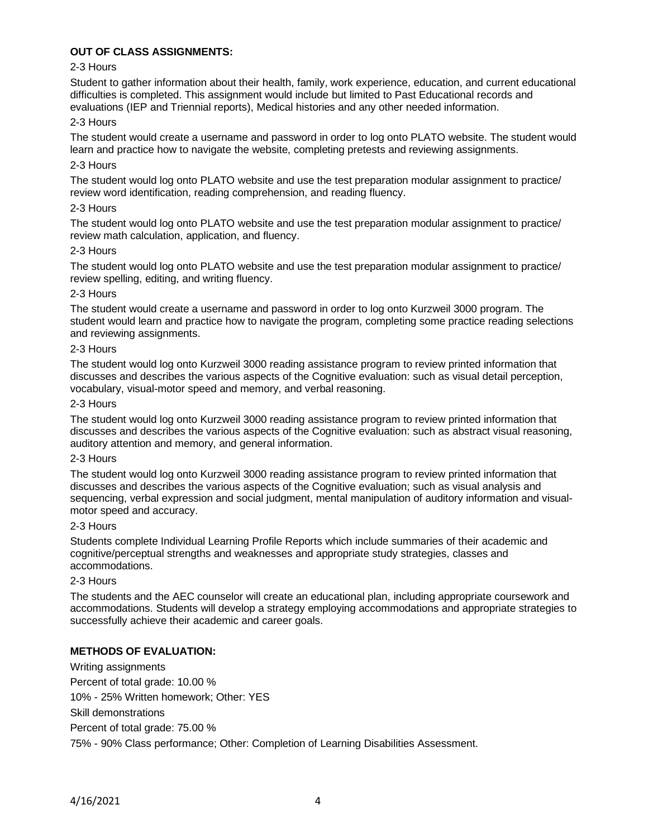## **OUT OF CLASS ASSIGNMENTS:**

## 2-3 Hours

Student to gather information about their health, family, work experience, education, and current educational difficulties is completed. This assignment would include but limited to Past Educational records and evaluations (IEP and Triennial reports), Medical histories and any other needed information.

## 2-3 Hours

The student would create a username and password in order to log onto PLATO website. The student would learn and practice how to navigate the website, completing pretests and reviewing assignments.

## 2-3 Hours

The student would log onto PLATO website and use the test preparation modular assignment to practice/ review word identification, reading comprehension, and reading fluency.

## 2-3 Hours

The student would log onto PLATO website and use the test preparation modular assignment to practice/ review math calculation, application, and fluency.

### 2-3 Hours

The student would log onto PLATO website and use the test preparation modular assignment to practice/ review spelling, editing, and writing fluency.

## 2-3 Hours

The student would create a username and password in order to log onto Kurzweil 3000 program. The student would learn and practice how to navigate the program, completing some practice reading selections and reviewing assignments.

### 2-3 Hours

The student would log onto Kurzweil 3000 reading assistance program to review printed information that discusses and describes the various aspects of the Cognitive evaluation: such as visual detail perception, vocabulary, visual-motor speed and memory, and verbal reasoning.

## 2-3 Hours

The student would log onto Kurzweil 3000 reading assistance program to review printed information that discusses and describes the various aspects of the Cognitive evaluation: such as abstract visual reasoning, auditory attention and memory, and general information.

### 2-3 Hours

The student would log onto Kurzweil 3000 reading assistance program to review printed information that discusses and describes the various aspects of the Cognitive evaluation; such as visual analysis and sequencing, verbal expression and social judgment, mental manipulation of auditory information and visualmotor speed and accuracy.

### 2-3 Hours

Students complete Individual Learning Profile Reports which include summaries of their academic and cognitive/perceptual strengths and weaknesses and appropriate study strategies, classes and accommodations.

### 2-3 Hours

The students and the AEC counselor will create an educational plan, including appropriate coursework and accommodations. Students will develop a strategy employing accommodations and appropriate strategies to successfully achieve their academic and career goals.

## **METHODS OF EVALUATION:**

Writing assignments Percent of total grade: 10.00 % 10% - 25% Written homework; Other: YES Skill demonstrations Percent of total grade: 75.00 % 75% - 90% Class performance; Other: Completion of Learning Disabilities Assessment.